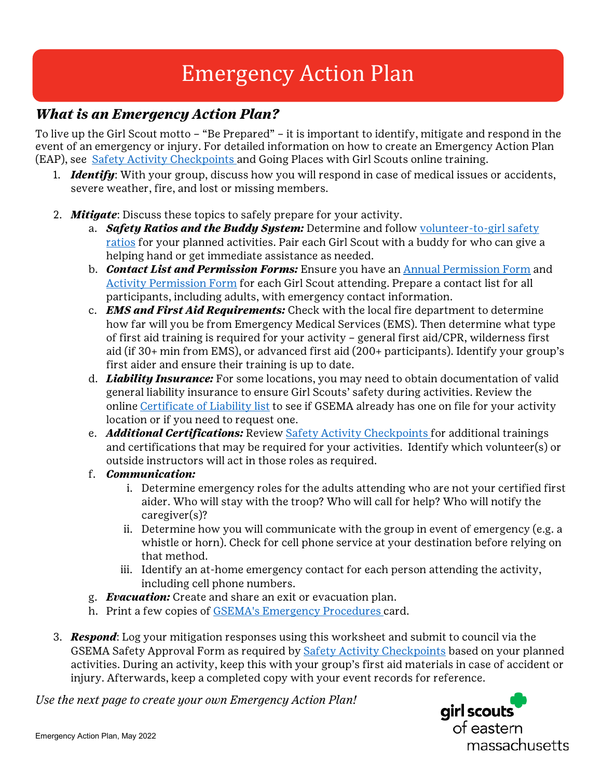# Emergency Action Plan

## *What is an Emergency Action Plan?*

To live up the Girl Scout motto – "Be Prepared" – it is important to identify, mitigate and respond in the event of an emergency or injury. For detailed information on how to create an Emergency Action Plan (EAP), see [Safety Activity Checkpoints](https://www.gsema.org/content/dam/girlscouts-girlscoutseasternmass/documents/SAC/gsema_safety_activity_checkpoints.pdf) and Going Places with Girl Scouts online training.

- 1. *Identify*: With your group, discuss how you will respond in case of medical issues or accidents, severe weather, fire, and lost or missing members.
- 2. *Mitigate*: Discuss these topics to safely prepare for your activity.
	- a. *Safety Ratios and the Buddy System:* Determine and follow [volunteer-to-girl](http://www.gsema.org/safety) safety [ratios](http://www.gsema.org/safety) for your planned activities. Pair each Girl Scout with a buddy for who can give a helping hand or get immediate assistance as needed.
	- b. *Contact List and Permission Forms:* Ensure you have an [Annual Permission Form](https://www.gsema.org/content/dam/girlscouts-girlscoutseasternmass/documents/Annual-Girl-Permission.pdf) and [Activity Permission Form](https://www.gsema.org/content/dam/girlscouts-girlscoutseasternmass/documents/Activity-Permission-Form.pdf) for each Girl Scout attending. Prepare a contact list for all participants, including adults, with emergency contact information.
	- c. *EMS and First Aid Requirements:* Check with the local fire department to determine how far will you be from Emergency Medical Services (EMS). Then determine what type of first aid training is required for your activity – general first aid/CPR, wilderness first aid (if 30+ min from EMS), or advanced first aid (200+ participants). Identify your group's first aider and ensure their training is up to date.
	- d. *Liability Insurance:* For some locations, you may need to obtain documentation of valid general liability insurance to ensure Girl Scouts' safety during activities. Review the online [Certificate of Liability list](http://www.gsema.org/content/dam/girlscouts-girlscoutseasternmass/documents/certificates-of-liability.pdf) to see if GSEMA already has one on file for your activity location or if you need to request one.
	- e. *Additional Certifications:* Revie[w Safety Activity Checkpoints](https://www.gsema.org/content/dam/girlscouts-girlscoutseasternmass/documents/SAC/gsema_safety_activity_checkpoints.pdf) for additional trainings and certifications that may be required for your activities. Identify which volunteer(s) or outside instructors will act in those roles as required.
	- f. *Communication:* 
		- i. Determine emergency roles for the adults attending who are not your certified first aider. Who will stay with the troop? Who will call for help? Who will notify the caregiver(s)?
		- ii. Determine how you will communicate with the group in event of emergency (e.g. a whistle or horn). Check for cell phone service at your destination before relying on that method.
		- iii. Identify an at-home emergency contact for each person attending the activity, including cell phone numbers.
	- g. *Evacuation:* Create and share an exit or evacuation plan.
	- h. Print a few copies of GSEMA's Emergency [Procedures](http://chrome-extension/efaidnbmnnnibpcajpcglclefindmkaj/viewer.html?pdfurl=https%3A%2F%2Fwww.gsema.org%2Fcontent%2Fdam%2Fgirlscouts-girlscoutseasternmass%2Fdocuments%2Fprocedures-emergency-volunteers.pdf&chunk=true) card.
- 3. *Respond*: Log your mitigation responses using this worksheet and submit to council via the GSEMA Safety Approval Form as required b[y Safety Activity Checkpoints](https://www.gsema.org/content/dam/girlscouts-girlscoutseasternmass/documents/SAC/gsema_safety_activity_checkpoints.pdf) based on your planned activities. During an activity, keep this with your group's first aid materials in case of accident or injury. Afterwards, keep a completed copy with your event records for reference.

*Use the next page to create your own Emergency Action Plan!*